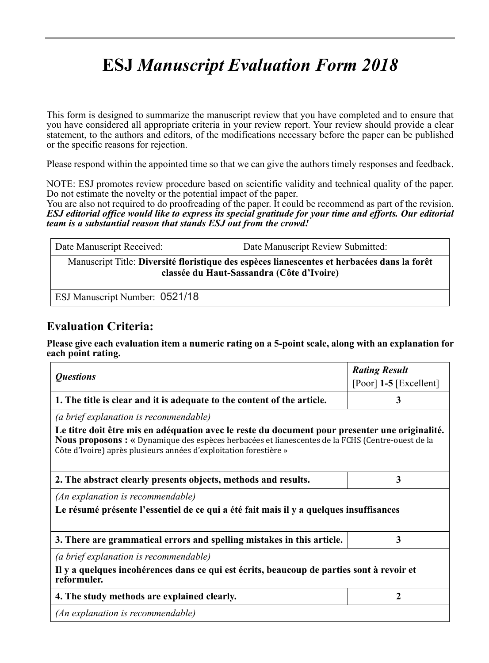# **ESJ** *Manuscript Evaluation Form 2018*

This form is designed to summarize the manuscript review that you have completed and to ensure that you have considered all appropriate criteria in your review report. Your review should provide a clear statement, to the authors and editors, of the modifications necessary before the paper can be published or the specific reasons for rejection.

Please respond within the appointed time so that we can give the authors timely responses and feedback.

NOTE: ESJ promotes review procedure based on scientific validity and technical quality of the paper. Do not estimate the novelty or the potential impact of the paper.

You are also not required to do proofreading of the paper. It could be recommend as part of the revision. *ESJ editorial office would like to express its special gratitude for your time and efforts. Our editorial team is a substantial reason that stands ESJ out from the crowd!*

| Date Manuscript Received:                                                                                                                | Date Manuscript Review Submitted: |  |  |
|------------------------------------------------------------------------------------------------------------------------------------------|-----------------------------------|--|--|
| Manuscript Title: Diversité floristique des espèces lianescentes et herbacées dans la forêt<br>classée du Haut-Sassandra (Côte d'Ivoire) |                                   |  |  |
| ESJ Manuscript Number: 0521/18                                                                                                           |                                   |  |  |

### **Evaluation Criteria:**

**Please give each evaluation item a numeric rating on a 5-point scale, along with an explanation for each point rating.**

|                                                                                                                                                                                                                                                                          | <b>Rating Result</b>     |
|--------------------------------------------------------------------------------------------------------------------------------------------------------------------------------------------------------------------------------------------------------------------------|--------------------------|
| <i><b>Questions</b></i>                                                                                                                                                                                                                                                  | [Poor] $1-5$ [Excellent] |
| 1. The title is clear and it is adequate to the content of the article.                                                                                                                                                                                                  | 3                        |
| (a brief explanation is recommendable)                                                                                                                                                                                                                                   |                          |
| Le titre doit être mis en adéquation avec le reste du document pour presenter une originalité.<br>Nous proposons : « Dynamique des espèces herbacées et lianescentes de la FCHS (Centre-ouest de la<br>Côte d'Ivoire) après plusieurs années d'exploitation forestière » |                          |
| 2. The abstract clearly presents objects, methods and results.                                                                                                                                                                                                           | 3                        |
| (An explanation is recommendable)                                                                                                                                                                                                                                        |                          |
| Le résumé présente l'essentiel de ce qui a été fait mais il y a quelques insuffisances                                                                                                                                                                                   |                          |
|                                                                                                                                                                                                                                                                          |                          |
| 3. There are grammatical errors and spelling mistakes in this article.                                                                                                                                                                                                   | 3                        |
| (a brief explanation is recommendable)                                                                                                                                                                                                                                   |                          |
| Il y a quelques incohérences dans ce qui est écrits, beaucoup de parties sont à revoir et<br>reformuler.                                                                                                                                                                 |                          |
| 4. The study methods are explained clearly.                                                                                                                                                                                                                              | $\mathbf{2}$             |
| (An explanation is recommendable)                                                                                                                                                                                                                                        |                          |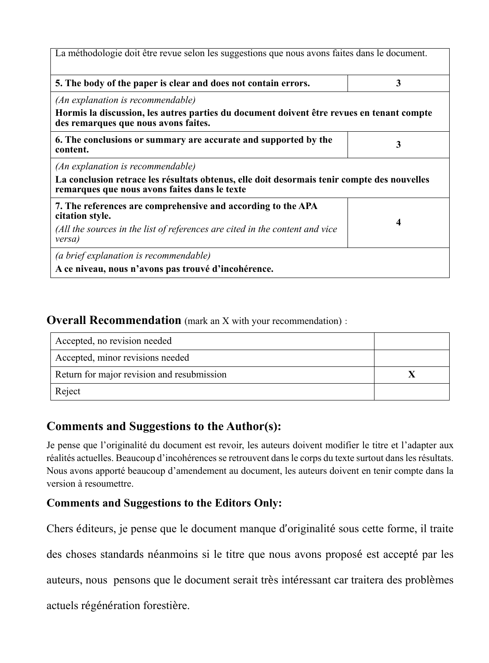| La méthodologie doit être revue selon les suggestions que nous avons faites dans le document.                                                |   |
|----------------------------------------------------------------------------------------------------------------------------------------------|---|
| 5. The body of the paper is clear and does not contain errors.                                                                               | 3 |
| (An explanation is recommendable)                                                                                                            |   |
| Hormis la discussion, les autres parties du document doivent être revues en tenant compte<br>des remarques que nous avons faites.            |   |
| 6. The conclusions or summary are accurate and supported by the<br>content.                                                                  | 3 |
| (An explanation is recommendable)                                                                                                            |   |
| La conclusion retrace les résultats obtenus, elle doit desormais tenir compte des nouvelles<br>remarques que nous avons faites dans le texte |   |
| 7. The references are comprehensive and according to the APA<br>citation style.                                                              |   |
| (All the sources in the list of references are cited in the content and vice<br>versa)                                                       | 4 |
| (a brief explanation is recommendable)                                                                                                       |   |
| A ce niveau, nous n'avons pas trouvé d'incohérence.                                                                                          |   |

#### **Overall Recommendation** (mark an X with your recommendation):

| Accepted, no revision needed               |  |
|--------------------------------------------|--|
| Accepted, minor revisions needed           |  |
| Return for major revision and resubmission |  |
| Reject                                     |  |

## **Comments and Suggestions to the Author(s):**

Je pense que l'originalité du document est revoir, les auteurs doivent modifier le titre et l'adapter aux réalités actuelles. Beaucoup d'incohérences se retrouvent dans le corps du texte surtout dans les résultats. Nous avons apporté beaucoup d'amendement au document, les auteurs doivent en tenir compte dans la version à resoumettre.

#### **Comments and Suggestions to the Editors Only:**

Chers éditeurs, je pense que le document manque d'originalité sous cette forme, il traite

des choses standards néanmoins si le titre que nous avons proposé est accepté par les

auteurs, nous pensons que le document serait très intéressant car traitera des problèmes

actuels régénération forestière.